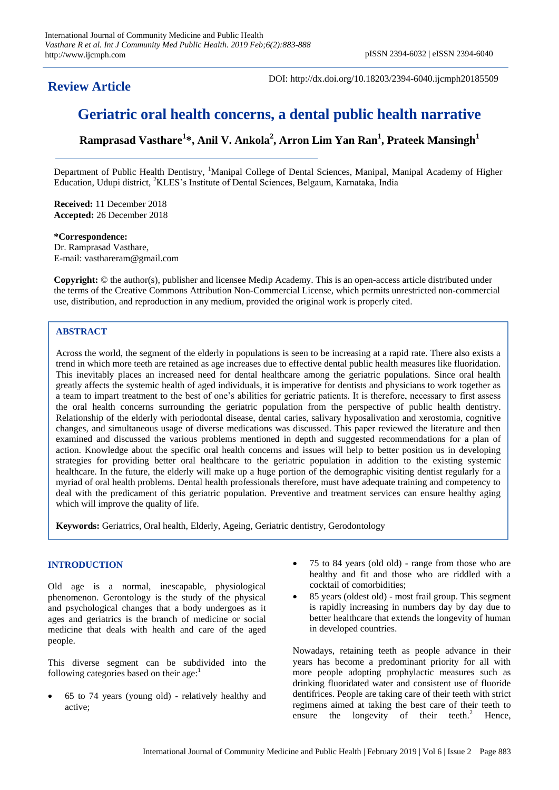# **Review Article**

DOI: http://dx.doi.org/10.18203/2394-6040.ijcmph20185509

# **Geriatric oral health concerns, a dental public health narrative**

**Ramprasad Vasthare<sup>1</sup> \*, Anil V. Ankola<sup>2</sup> , Arron Lim Yan Ran<sup>1</sup> , Prateek Mansingh<sup>1</sup>**

Department of Public Health Dentistry, <sup>1</sup>Manipal College of Dental Sciences, Manipal, Manipal Academy of Higher Education, Udupi district, <sup>2</sup>KLES's Institute of Dental Sciences, Belgaum, Karnataka, India

**Received:** 11 December 2018 **Accepted:** 26 December 2018

**\*Correspondence:** Dr. Ramprasad Vasthare, E-mail: vasthareram@gmail.com

**Copyright:** © the author(s), publisher and licensee Medip Academy. This is an open-access article distributed under the terms of the Creative Commons Attribution Non-Commercial License, which permits unrestricted non-commercial use, distribution, and reproduction in any medium, provided the original work is properly cited.

# **ABSTRACT**

Across the world, the segment of the elderly in populations is seen to be increasing at a rapid rate. There also exists a trend in which more teeth are retained as age increases due to effective dental public health measures like fluoridation. This inevitably places an increased need for dental healthcare among the geriatric populations. Since oral health greatly affects the systemic health of aged individuals, it is imperative for dentists and physicians to work together as a team to impart treatment to the best of one's abilities for geriatric patients. It is therefore, necessary to first assess the oral health concerns surrounding the geriatric population from the perspective of public health dentistry. Relationship of the elderly with periodontal disease, dental caries, salivary hyposalivation and xerostomia, cognitive changes, and simultaneous usage of diverse medications was discussed. This paper reviewed the literature and then examined and discussed the various problems mentioned in depth and suggested recommendations for a plan of action. Knowledge about the specific oral health concerns and issues will help to better position us in developing strategies for providing better oral healthcare to the geriatric population in addition to the existing systemic healthcare. In the future, the elderly will make up a huge portion of the demographic visiting dentist regularly for a myriad of oral health problems. Dental health professionals therefore, must have adequate training and competency to deal with the predicament of this geriatric population. Preventive and treatment services can ensure healthy aging which will improve the quality of life.

**Keywords:** Geriatrics, Oral health, Elderly, Ageing, Geriatric dentistry, Gerodontology

# **INTRODUCTION**

Old age is a normal, inescapable, physiological phenomenon. Gerontology is the study of the physical and psychological changes that a body undergoes as it ages and geriatrics is the branch of medicine or social medicine that deals with health and care of the aged people.

This diverse segment can be subdivided into the following categories based on their age: $<sup>1</sup>$ </sup>

 65 to 74 years (young old) - relatively healthy and active;

- 75 to 84 years (old old) range from those who are healthy and fit and those who are riddled with a cocktail of comorbidities;
- 85 years (oldest old) most frail group. This segment is rapidly increasing in numbers day by day due to better healthcare that extends the longevity of human in developed countries.

Nowadays, retaining teeth as people advance in their years has become a predominant priority for all with more people adopting prophylactic measures such as drinking fluoridated water and consistent use of fluoride dentifrices. People are taking care of their teeth with strict regimens aimed at taking the best care of their teeth to ensure the longevity of their teeth.<sup>2</sup> Hence,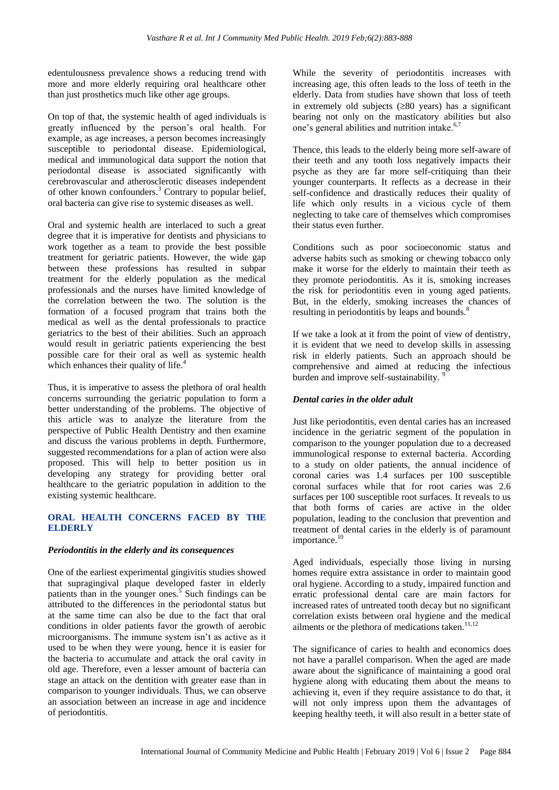edentulousness prevalence shows a reducing trend with more and more elderly requiring oral healthcare other than just prosthetics much like other age groups.

On top of that, the systemic health of aged individuals is greatly influenced by the person's oral health. For example, as age increases, a person becomes increasingly susceptible to periodontal disease. Epidemiological, medical and immunological data support the notion that periodontal disease is associated significantly with cerebrovascular and atherosclerotic diseases independent of other known confounders.<sup>3</sup> Contrary to popular belief, oral bacteria can give rise to systemic diseases as well.

Oral and systemic health are interlaced to such a great degree that it is imperative for dentists and physicians to work together as a team to provide the best possible treatment for geriatric patients. However, the wide gap between these professions has resulted in subpar treatment for the elderly population as the medical professionals and the nurses have limited knowledge of the correlation between the two. The solution is the formation of a focused program that trains both the medical as well as the dental professionals to practice geriatrics to the best of their abilities. Such an approach would result in geriatric patients experiencing the best possible care for their oral as well as systemic health which enhances their quality of life.<sup>4</sup>

Thus, it is imperative to assess the plethora of oral health concerns surrounding the geriatric population to form a better understanding of the problems. The objective of this article was to analyze the literature from the perspective of Public Health Dentistry and then examine and discuss the various problems in depth. Furthermore, suggested recommendations for a plan of action were also proposed. This will help to better position us in developing any strategy for providing better oral healthcare to the geriatric population in addition to the existing systemic healthcare.

# **ORAL HEALTH CONCERNS FACED BY THE ELDERLY**

# *Periodontitis in the elderly and its consequences*

One of the earliest experimental gingivitis studies showed that supragingival plaque developed faster in elderly patients than in the younger ones.<sup>5</sup> Such findings can be attributed to the differences in the periodontal status but at the same time can also be due to the fact that oral conditions in older patients favor the growth of aerobic microorganisms. The immune system isn't as active as it used to be when they were young, hence it is easier for the bacteria to accumulate and attack the oral cavity in old age. Therefore, even a lesser amount of bacteria can stage an attack on the dentition with greater ease than in comparison to younger individuals. Thus, we can observe an association between an increase in age and incidence of periodontitis.

While the severity of periodontitis increases with increasing age, this often leads to the loss of teeth in the elderly. Data from studies have shown that loss of teeth in extremely old subjects  $(\geq 80 \text{ years})$  has a significant bearing not only on the masticatory abilities but also one's general abilities and nutrition intake.<sup>6,7</sup>

Thence, this leads to the elderly being more self-aware of their teeth and any tooth loss negatively impacts their psyche as they are far more self-critiquing than their younger counterparts. It reflects as a decrease in their self-confidence and drastically reduces their quality of life which only results in a vicious cycle of them neglecting to take care of themselves which compromises their status even further.

Conditions such as poor socioeconomic status and adverse habits such as smoking or chewing tobacco only make it worse for the elderly to maintain their teeth as they promote periodontitis. As it is, smoking increases the risk for periodontitis even in young aged patients. But, in the elderly, smoking increases the chances of resulting in periodontitis by leaps and bounds.<sup>8</sup>

If we take a look at it from the point of view of dentistry, it is evident that we need to develop skills in assessing risk in elderly patients. Such an approach should be comprehensive and aimed at reducing the infectious burden and improve self-sustainability.<sup>9</sup>

# *Dental caries in the older adult*

Just like periodontitis, even dental caries has an increased incidence in the geriatric segment of the population in comparison to the younger population due to a decreased immunological response to external bacteria. According to a study on older patients, the annual incidence of coronal caries was 1.4 surfaces per 100 susceptible coronal surfaces while that for root caries was 2.6 surfaces per 100 susceptible root surfaces. It reveals to us that both forms of caries are active in the older population, leading to the conclusion that prevention and treatment of dental caries in the elderly is of paramount importance.<sup>10</sup>

Aged individuals, especially those living in nursing homes require extra assistance in order to maintain good oral hygiene. According to a study, impaired function and erratic professional dental care are main factors for increased rates of untreated tooth decay but no significant correlation exists between oral hygiene and the medical ailments or the plethora of medications taken. $11,12$ 

The significance of caries to health and economics does not have a parallel comparison. When the aged are made aware about the significance of maintaining a good oral hygiene along with educating them about the means to achieving it, even if they require assistance to do that, it will not only impress upon them the advantages of keeping healthy teeth, it will also result in a better state of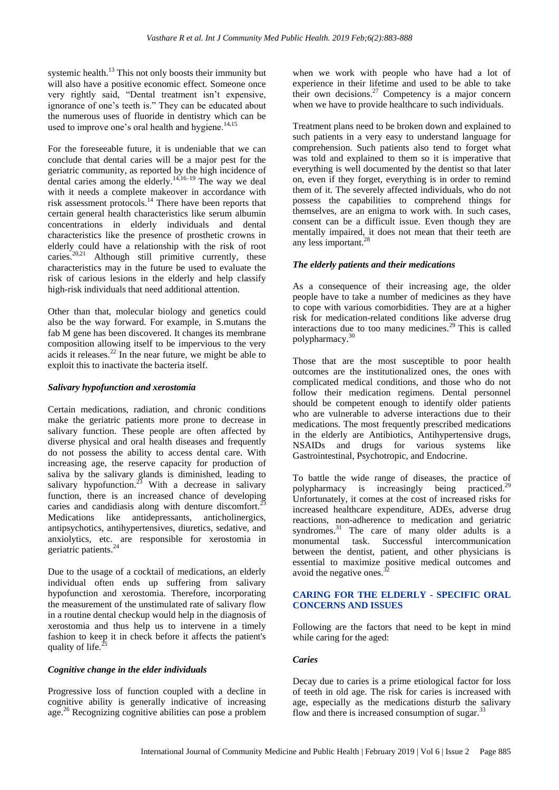systemic health.<sup>13</sup> This not only boosts their immunity but will also have a positive economic effect. Someone once very rightly said, "Dental treatment isn't expensive, ignorance of one's teeth is." They can be educated about the numerous uses of fluoride in dentistry which can be used to improve one's oral health and hygiene. $14,15$ 

For the foreseeable future, it is undeniable that we can conclude that dental caries will be a major pest for the geriatric community, as reported by the high incidence of dental caries among the elderly.<sup>14,16–19</sup> The way we deal with it needs a complete makeover in accordance with risk assessment protocols.<sup>14</sup> There have been reports that certain general health characteristics like serum albumin concentrations in elderly individuals and dental characteristics like the presence of prosthetic crowns in elderly could have a relationship with the risk of root caries.<sup>20,21</sup> Although still primitive currently, these characteristics may in the future be used to evaluate the risk of carious lesions in the elderly and help classify high-risk individuals that need additional attention.

Other than that, molecular biology and genetics could also be the way forward. For example, in S.mutans the fab M gene has been discovered. It changes its membrane composition allowing itself to be impervious to the very acids it releases.<sup>22</sup> In the near future, we might be able to exploit this to inactivate the bacteria itself.

#### *Salivary hypofunction and xerostomia*

Certain medications, radiation, and chronic conditions make the geriatric patients more prone to decrease in salivary function. These people are often affected by diverse physical and oral health diseases and frequently do not possess the ability to access dental care. With increasing age, the reserve capacity for production of saliva by the salivary glands is diminished, leading to salivary hypofunction.<sup>23</sup> With a decrease in salivary function, there is an increased chance of developing caries and candidiasis along with denture discomfort.<sup>2</sup> Medications like antidepressants, anticholinergics, antipsychotics, antihypertensives, diuretics, sedative, and anxiolytics, etc. are responsible for xerostomia in geriatric patients.<sup>24</sup>

Due to the usage of a cocktail of medications, an elderly individual often ends up suffering from salivary hypofunction and xerostomia. Therefore, incorporating the measurement of the unstimulated rate of salivary flow in a routine dental checkup would help in the diagnosis of xerostomia and thus help us to intervene in a timely fashion to keep it in check before it affects the patient's quality of life.

#### *Cognitive change in the elder individuals*

Progressive loss of function coupled with a decline in cognitive ability is generally indicative of increasing age.<sup>26</sup> Recognizing cognitive abilities can pose a problem when we work with people who have had a lot of experience in their lifetime and used to be able to take their own decisions.<sup>27</sup> Competency is a major concern when we have to provide healthcare to such individuals.

Treatment plans need to be broken down and explained to such patients in a very easy to understand language for comprehension. Such patients also tend to forget what was told and explained to them so it is imperative that everything is well documented by the dentist so that later on, even if they forget, everything is in order to remind them of it. The severely affected individuals, who do not possess the capabilities to comprehend things for themselves, are an enigma to work with. In such cases, consent can be a difficult issue. Even though they are mentally impaired, it does not mean that their teeth are any less important.<sup>28</sup>

# *The elderly patients and their medications*

As a consequence of their increasing age, the older people have to take a number of medicines as they have to cope with various comorbidities. They are at a higher risk for medication-related conditions like adverse drug interactions due to too many medicines.<sup>29</sup> This is called polypharmacy.<sup>3</sup>

Those that are the most susceptible to poor health outcomes are the institutionalized ones, the ones with complicated medical conditions, and those who do not follow their medication regimens. Dental personnel should be competent enough to identify older patients who are vulnerable to adverse interactions due to their medications. The most frequently prescribed medications in the elderly are Antibiotics, Antihypertensive drugs, NSAIDs and drugs for various systems like Gastrointestinal, Psychotropic, and Endocrine.

To battle the wide range of diseases, the practice of polypharmacy is increasingly being practiced.<sup>29</sup> Unfortunately, it comes at the cost of increased risks for increased healthcare expenditure, ADEs, adverse drug reactions, non-adherence to medication and geriatric syndromes.<sup>31</sup> The care of many older adults is a monumental task. Successful intercommunication between the dentist, patient, and other physicians is essential to maximize positive medical outcomes and avoid the negative ones.<sup>32</sup>

#### **CARING FOR THE ELDERLY - SPECIFIC ORAL CONCERNS AND ISSUES**

Following are the factors that need to be kept in mind while caring for the aged:

# *Caries*

Decay due to caries is a prime etiological factor for loss of teeth in old age. The risk for caries is increased with age, especially as the medications disturb the salivary flow and there is increased consumption of sugar. $33$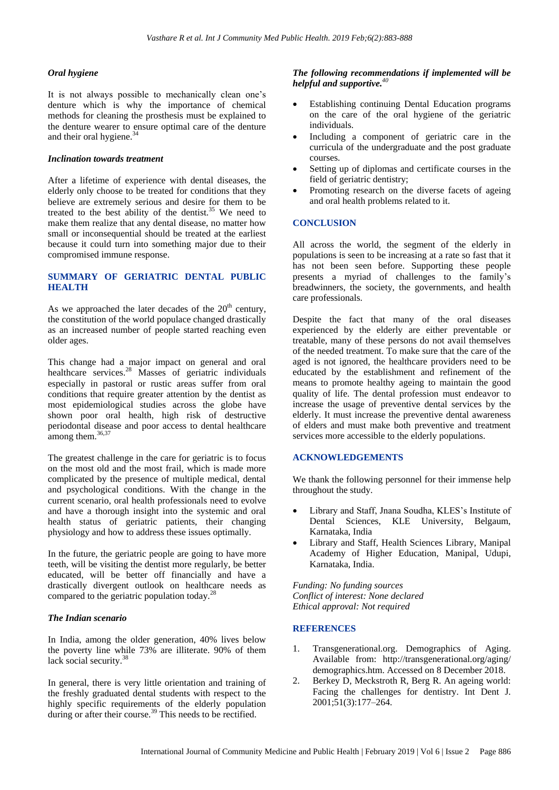## *Oral hygiene*

It is not always possible to mechanically clean one's denture which is why the importance of chemical methods for cleaning the prosthesis must be explained to the denture wearer to ensure optimal care of the denture and their oral hygiene.<sup>34</sup>

#### *Inclination towards treatment*

After a lifetime of experience with dental diseases, the elderly only choose to be treated for conditions that they believe are extremely serious and desire for them to be treated to the best ability of the dentist.<sup>35</sup> We need to make them realize that any dental disease, no matter how small or inconsequential should be treated at the earliest because it could turn into something major due to their compromised immune response.

#### **SUMMARY OF GERIATRIC DENTAL PUBLIC HEALTH**

As we approached the later decades of the  $20<sup>th</sup>$  century, the constitution of the world populace changed drastically as an increased number of people started reaching even older ages.

This change had a major impact on general and oral healthcare services.<sup>28</sup> Masses of geriatric individuals especially in pastoral or rustic areas suffer from oral conditions that require greater attention by the dentist as most epidemiological studies across the globe have shown poor oral health, high risk of destructive periodontal disease and poor access to dental healthcare among them.<sup>36,37</sup>

The greatest challenge in the care for geriatric is to focus on the most old and the most frail, which is made more complicated by the presence of multiple medical, dental and psychological conditions. With the change in the current scenario, oral health professionals need to evolve and have a thorough insight into the systemic and oral health status of geriatric patients, their changing physiology and how to address these issues optimally.

In the future, the geriatric people are going to have more teeth, will be visiting the dentist more regularly, be better educated, will be better off financially and have a drastically divergent outlook on healthcare needs as compared to the geriatric population today.<sup>28</sup>

#### *The Indian scenario*

In India, among the older generation, 40% lives below the poverty line while 73% are illiterate. 90% of them lack social security.<sup>38</sup>

In general, there is very little orientation and training of the freshly graduated dental students with respect to the highly specific requirements of the elderly population during or after their course.<sup>39</sup> This needs to be rectified.

## *The following recommendations if implemented will be helpful and supportive.<sup>40</sup>*

- Establishing continuing Dental Education programs on the care of the oral hygiene of the geriatric individuals.
- Including a component of geriatric care in the curricula of the undergraduate and the post graduate courses.
- Setting up of diplomas and certificate courses in the field of geriatric dentistry;
- Promoting research on the diverse facets of ageing and oral health problems related to it.

# **CONCLUSION**

All across the world, the segment of the elderly in populations is seen to be increasing at a rate so fast that it has not been seen before. Supporting these people presents a myriad of challenges to the family's breadwinners, the society, the governments, and health care professionals.

Despite the fact that many of the oral diseases experienced by the elderly are either preventable or treatable, many of these persons do not avail themselves of the needed treatment. To make sure that the care of the aged is not ignored, the healthcare providers need to be educated by the establishment and refinement of the means to promote healthy ageing to maintain the good quality of life. The dental profession must endeavor to increase the usage of preventive dental services by the elderly. It must increase the preventive dental awareness of elders and must make both preventive and treatment services more accessible to the elderly populations.

#### **ACKNOWLEDGEMENTS**

We thank the following personnel for their immense help throughout the study.

- Library and Staff, Jnana Soudha, KLES's Institute of Dental Sciences, KLE University, Belgaum, Karnataka, India
- Library and Staff, Health Sciences Library, Manipal Academy of Higher Education, Manipal, Udupi, Karnataka, India.

*Funding: No funding sources Conflict of interest: None declared Ethical approval: Not required*

#### **REFERENCES**

- 1. Transgenerational.org. Demographics of Aging. Available from: http://transgenerational.org/aging/ demographics.htm. Accessed on 8 December 2018.
- 2. Berkey D, Meckstroth R, Berg R. An ageing world: Facing the challenges for dentistry. Int Dent J. 2001;51(3):177–264.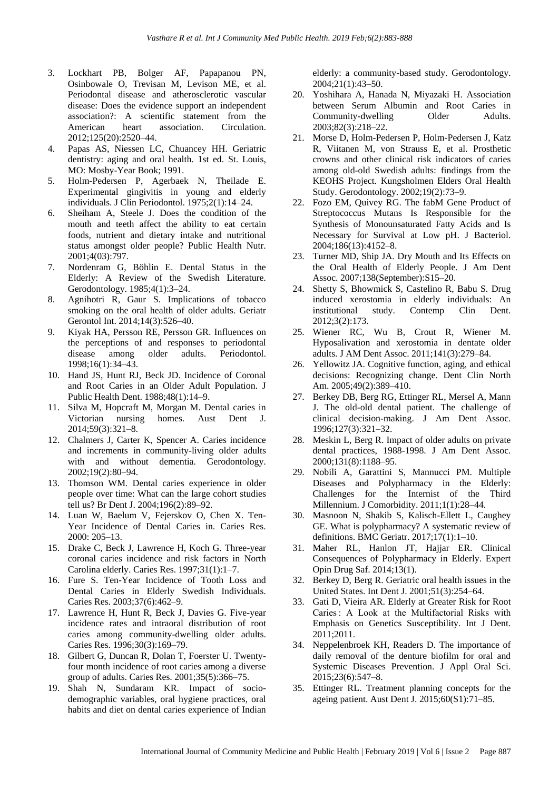- 3. Lockhart PB, Bolger AF, Papapanou PN, Osinbowale O, Trevisan M, Levison ME, et al. Periodontal disease and atherosclerotic vascular disease: Does the evidence support an independent association?: A scientific statement from the American heart association. Circulation. 2012;125(20):2520–44.
- 4. Papas AS, Niessen LC, Chuancey HH. Geriatric dentistry: aging and oral health. 1st ed. St. Louis, MO: Mosby-Year Book; 1991.
- 5. Holm-Pedersen P, Agerbaek N, Theilade E. Experimental gingivitis in young and elderly individuals. J Clin Periodontol. 1975;2(1):14–24.
- 6. Sheiham A, Steele J. Does the condition of the mouth and teeth affect the ability to eat certain foods, nutrient and dietary intake and nutritional status amongst older people? Public Health Nutr. 2001;4(03):797.
- 7. Nordenram G, Böhlin E. Dental Status in the Elderly: A Review of the Swedish Literature. Gerodontology. 1985;4(1):3–24.
- 8. Agnihotri R, Gaur S. Implications of tobacco smoking on the oral health of older adults. Geriatr Gerontol Int. 2014;14(3):526–40.
- 9. Kiyak HA, Persson RE, Persson GR. Influences on the perceptions of and responses to periodontal disease among older adults. Periodontol. 1998;16(1):34–43.
- 10. Hand JS, Hunt RJ, Beck JD. Incidence of Coronal and Root Caries in an Older Adult Population. J Public Health Dent. 1988;48(1):14–9.
- 11. Silva M, Hopcraft M, Morgan M. Dental caries in Victorian nursing homes. Aust Dent J. 2014;59(3):321–8.
- 12. Chalmers J, Carter K, Spencer A. Caries incidence and increments in community-living older adults with and without dementia. Gerodontology. 2002;19(2):80–94.
- 13. Thomson WM. Dental caries experience in older people over time: What can the large cohort studies tell us? Br Dent J. 2004;196(2):89–92.
- 14. Luan W, Baelum V, Fejerskov O, Chen X. Ten-Year Incidence of Dental Caries in. Caries Res. 2000: 205–13.
- 15. Drake C, Beck J, Lawrence H, Koch G. Three-year coronal caries incidence and risk factors in North Carolina elderly. Caries Res. 1997;31(1):1–7.
- 16. Fure S. Ten-Year Incidence of Tooth Loss and Dental Caries in Elderly Swedish Individuals. Caries Res. 2003;37(6):462–9.
- 17. Lawrence H, Hunt R, Beck J, Davies G. Five-year incidence rates and intraoral distribution of root caries among community-dwelling older adults. Caries Res. 1996;30(3):169–79.
- 18. Gilbert G, Duncan R, Dolan T, Foerster U. Twentyfour month incidence of root caries among a diverse group of adults. Caries Res. 2001;35(5):366–75.
- 19. Shah N, Sundaram KR. Impact of sociodemographic variables, oral hygiene practices, oral habits and diet on dental caries experience of Indian

elderly: a community-based study. Gerodontology. 2004;21(1):43–50.

- 20. Yoshihara A, Hanada N, Miyazaki H. Association between Serum Albumin and Root Caries in Community-dwelling Older Adults. 2003;82(3):218–22.
- 21. Morse D, Holm-Pedersen P, Holm-Pedersen J, Katz R, Viitanen M, von Strauss E, et al. Prosthetic crowns and other clinical risk indicators of caries among old-old Swedish adults: findings from the KEOHS Project. Kungsholmen Elders Oral Health Study. Gerodontology. 2002;19(2):73–9.
- 22. Fozo EM, Quivey RG. The fabM Gene Product of Streptococcus Mutans Is Responsible for the Synthesis of Monounsaturated Fatty Acids and Is Necessary for Survival at Low pH. J Bacteriol. 2004;186(13):4152–8.
- 23. Turner MD, Ship JA. Dry Mouth and Its Effects on the Oral Health of Elderly People. J Am Dent Assoc. 2007;138(September):S15–20.
- 24. Shetty S, Bhowmick S, Castelino R, Babu S. Drug induced xerostomia in elderly individuals: An institutional study. Contemp Clin Dent. 2012;3(2):173.
- 25. Wiener RC, Wu B, Crout R, Wiener M. Hyposalivation and xerostomia in dentate older adults. J AM Dent Assoc. 2011;141(3):279–84.
- 26. Yellowitz JA. Cognitive function, aging, and ethical decisions: Recognizing change. Dent Clin North Am. 2005;49(2):389–410.
- 27. Berkey DB, Berg RG, Ettinger RL, Mersel A, Mann J. The old-old dental patient. The challenge of clinical decision-making. J Am Dent Assoc. 1996;127(3):321–32.
- 28. Meskin L, Berg R. Impact of older adults on private dental practices, 1988-1998. J Am Dent Assoc. 2000;131(8):1188–95.
- 29. Nobili A, Garattini S, Mannucci PM. Multiple Diseases and Polypharmacy in the Elderly: Challenges for the Internist of the Third Millennium. J Comorbidity. 2011;1(1):28–44.
- 30. Masnoon N, Shakib S, Kalisch-Ellett L, Caughey GE. What is polypharmacy? A systematic review of definitions. BMC Geriatr. 2017;17(1):1–10.
- 31. Maher RL, Hanlon JT, Hajjar ER. Clinical Consequences of Polypharmacy in Elderly. Expert Opin Drug Saf. 2014;13(1).
- 32. Berkey D, Berg R. Geriatric oral health issues in the United States. Int Dent J. 2001;51(3):254–64.
- 33. Gati D, Vieira AR. Elderly at Greater Risk for Root Caries : A Look at the Multifactorial Risks with Emphasis on Genetics Susceptibility. Int J Dent. 2011;2011.
- 34. Neppelenbroek KH, Readers D. The importance of daily removal of the denture biofilm for oral and Systemic Diseases Prevention. J Appl Oral Sci. 2015;23(6):547–8.
- 35. Ettinger RL. Treatment planning concepts for the ageing patient. Aust Dent J. 2015;60(S1):71–85.